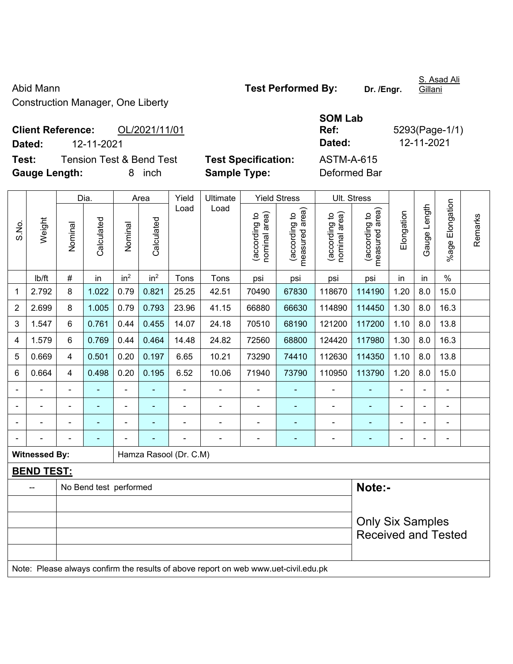Abid Mann **Abid Mann Test Performed By:** Dr. /Engr. Construction Manager, One Liberty

S. Asad Ali Gillani

**Client Reference:** OL/2021/11/01

**Test:** Tension Test & Bend Test Test Specification: A **Gauge Length:** 8 inch **Sample Type:** Deformed Bar

|                             |                                           |                            | <b>SOM Lab</b> |                |
|-----------------------------|-------------------------------------------|----------------------------|----------------|----------------|
|                             | <b>Client Reference:</b><br>OL/2021/11/01 |                            | Ref:           | 5293(Page-1/1) |
| Dated:                      | 12-11-2021                                |                            | Dated:         | 12-11-2021     |
| Test:                       | Tension Test & Bend Test                  | <b>Test Specification:</b> | ASTM-A-615     |                |
| $\sim$ $\sim$ $\sim$ $\sim$ |                                           |                            |                |                |

|                |                      |                                                                                     | Dia.                   |                 | Area            |                        | Yield<br>Ultimate<br><b>Yield Stress</b> |                                |                                 | Ult. Stress                    |                                                       |                |                |                    |         |
|----------------|----------------------|-------------------------------------------------------------------------------------|------------------------|-----------------|-----------------|------------------------|------------------------------------------|--------------------------------|---------------------------------|--------------------------------|-------------------------------------------------------|----------------|----------------|--------------------|---------|
| S.No.          | Weight               | Nominal                                                                             | Calculated             | Nominal         | Calculated      | Load                   | Load                                     | nominal area)<br>(according to | (according to<br>measured area) | nominal area)<br>(according to | (according to<br>measured area)<br>measured           | Elongation     | Gauge Length   | Elongation<br>%age | Remarks |
|                | Ib/ft                | $\#$                                                                                | in                     | in <sup>2</sup> | in <sup>2</sup> | Tons                   | Tons                                     | psi                            | psi                             | psi                            | psi                                                   | in             | in             | $\%$               |         |
| 1              | 2.792                | 8                                                                                   | 1.022                  | 0.79            | 0.821           | 25.25                  | 42.51                                    | 70490                          | 67830                           | 118670                         | 114190                                                | 1.20           | 8.0            | 15.0               |         |
| $\overline{2}$ | 2.699                | 8                                                                                   | 1.005                  | 0.79            | 0.793           | 23.96                  | 41.15                                    | 66880                          | 66630                           | 114890                         | 114450                                                | 1.30           | 8.0            | 16.3               |         |
| 3              | 1.547                | 6                                                                                   | 0.761                  | 0.44            | 0.455           | 14.07                  | 24.18                                    | 70510                          | 68190                           | 121200                         | 117200                                                | 1.10           | 8.0            | 13.8               |         |
| 4              | 1.579                | 6                                                                                   | 0.769                  | 0.44            | 0.464           | 14.48                  | 24.82                                    | 72560                          | 68800                           | 124420                         | 117980                                                | 1.30           | 8.0            | 16.3               |         |
| 5              | 0.669                | 4                                                                                   | 0.501                  | 0.20            | 0.197           | 6.65                   | 10.21                                    | 73290                          | 74410                           | 112630                         | 114350                                                | 1.10           | 8.0            | 13.8               |         |
| 6              | 0.664                | $\overline{4}$                                                                      | 0.498                  | 0.20            | 0.195           | 6.52                   | 10.06                                    | 71940                          | 73790                           | 110950                         | 113790                                                | 1.20           | 8.0            | 15.0               |         |
|                |                      | $\blacksquare$                                                                      |                        |                 |                 |                        | $\blacksquare$                           | $\blacksquare$                 |                                 | $\blacksquare$                 |                                                       |                |                | ä,                 |         |
|                | $\blacksquare$       | $\blacksquare$                                                                      | ÷,                     | $\blacksquare$  |                 | $\blacksquare$         | $\blacksquare$                           | $\blacksquare$                 | $\blacksquare$                  | $\blacksquare$                 | ÷                                                     | $\blacksquare$ | $\blacksquare$ | $\blacksquare$     |         |
|                | $\blacksquare$       | $\blacksquare$                                                                      | ÷                      | $\overline{a}$  |                 | $\blacksquare$         | $\blacksquare$                           | $\blacksquare$                 | ۰                               | $\blacksquare$                 | ÷                                                     | $\blacksquare$ |                | $\blacksquare$     |         |
|                |                      | $\blacksquare$                                                                      | $\blacksquare$         | $\blacksquare$  |                 | $\blacksquare$         | $\blacksquare$                           | $\blacksquare$                 | $\blacksquare$                  | $\blacksquare$                 | $\blacksquare$                                        | $\blacksquare$ |                | $\blacksquare$     |         |
|                | <b>Witnessed By:</b> |                                                                                     |                        |                 |                 | Hamza Rasool (Dr. C.M) |                                          |                                |                                 |                                |                                                       |                |                |                    |         |
|                | <b>BEND TEST:</b>    |                                                                                     |                        |                 |                 |                        |                                          |                                |                                 |                                |                                                       |                |                |                    |         |
|                |                      |                                                                                     | No Bend test performed |                 |                 |                        |                                          |                                |                                 |                                | Note:-                                                |                |                |                    |         |
|                |                      |                                                                                     |                        |                 |                 |                        |                                          |                                |                                 |                                |                                                       |                |                |                    |         |
|                |                      |                                                                                     |                        |                 |                 |                        |                                          |                                |                                 |                                | <b>Only Six Samples</b><br><b>Received and Tested</b> |                |                |                    |         |
|                |                      | Note: Please always confirm the results of above report on web www.uet-civil.edu.pk |                        |                 |                 |                        |                                          |                                |                                 |                                |                                                       |                |                |                    |         |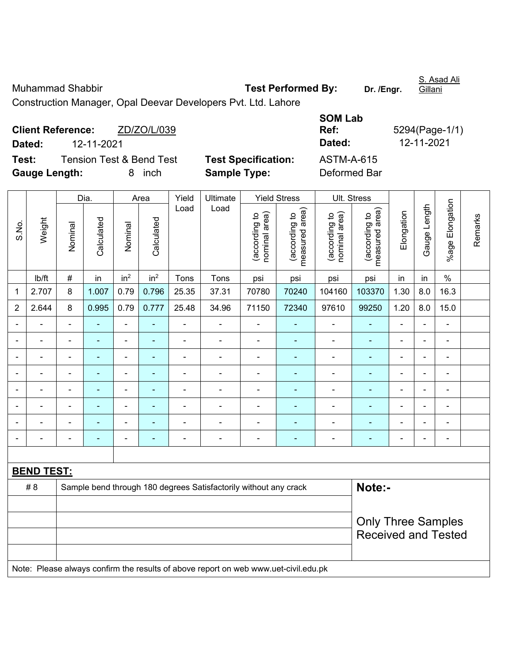Muhammad Shabbir **Test Performed By:** Dr. /Engr.

S. Asad Ali Gillani

Construction Manager, Opal Deevar Developers Pvt. Ltd. Lahore

|                      | <b>Client Reference:</b> | ZD/ZO/L/039                         |                            | Ref:              | 5294(Page-1/ |
|----------------------|--------------------------|-------------------------------------|----------------------------|-------------------|--------------|
| Dated:               | 12-11-2021               |                                     |                            | Dated:            | 12-11-2021   |
| Test:                |                          | <b>Tension Test &amp; Bend Test</b> | <b>Test Specification:</b> | <b>ASTM-A-615</b> |              |
| <b>Gauge Length:</b> |                          | inch<br>8                           | <b>Sample Type:</b>        | Deformed Bar      |              |

| SOM Lab      |                |
|--------------|----------------|
| Ref:         | 5294(Page-1/1) |
| Dated:       | 12-11-2021     |
| ASTM-A-615   |                |
| Deformed Bar |                |

|                |                   |                          | Dia.       | Area                     |                 | Yield          | Ultimate                                                                            | <b>Yield Stress</b>            |                                 | Ult. Stress                    |                                 |                |                |                 |         |
|----------------|-------------------|--------------------------|------------|--------------------------|-----------------|----------------|-------------------------------------------------------------------------------------|--------------------------------|---------------------------------|--------------------------------|---------------------------------|----------------|----------------|-----------------|---------|
| S.No.          | Weight            | Nominal                  | Calculated | Nominal                  | Calculated      | Load           | Load                                                                                | nominal area)<br>(according to | measured area)<br>(according to | nominal area)<br>(according to | measured area)<br>(according to | Elongation     | Gauge Length   | %age Elongation | Remarks |
|                | Ib/ft             | $\#$                     | in         | in <sup>2</sup>          | in <sup>2</sup> | Tons           | Tons                                                                                | psi                            | psi                             | psi                            | psi                             | in             | in             | $\frac{0}{0}$   |         |
| 1              | 2.707             | 8                        | 1.007      | 0.79                     | 0.796           | 25.35          | 37.31                                                                               | 70780                          | 70240                           | 104160                         | 103370                          | 1.30           | 8.0            | 16.3            |         |
| $\overline{2}$ | 2.644             | 8                        | 0.995      | 0.79                     | 0.777           | 25.48          | 34.96                                                                               | 71150                          | 72340                           | 97610                          | 99250                           | 1.20           | 8.0            | 15.0            |         |
| $\blacksquare$ | $\blacksquare$    | $\blacksquare$           | ÷          | $\blacksquare$           | $\blacksquare$  | $\blacksquare$ | $\blacksquare$                                                                      | $\blacksquare$                 |                                 | ÷,                             | $\blacksquare$                  | ä,             | $\blacksquare$ | $\blacksquare$  |         |
| $\blacksquare$ | $\blacksquare$    | $\blacksquare$           | ÷,         | $\overline{\phantom{a}}$ | $\blacksquare$  | $\blacksquare$ | $\blacksquare$                                                                      | $\blacksquare$                 | $\blacksquare$                  | $\blacksquare$                 | $\blacksquare$                  | $\blacksquare$ |                | $\blacksquare$  |         |
| $\blacksquare$ | $\blacksquare$    | $\blacksquare$           | ÷,         | ÷,                       | L,              | ÷              | ÷,                                                                                  | $\blacksquare$                 | $\blacksquare$                  | ÷,                             | $\blacksquare$                  | ä,             | $\blacksquare$ | $\blacksquare$  |         |
| $\blacksquare$ | $\blacksquare$    | ä,                       | ÷,         | $\blacksquare$           | $\blacksquare$  | ÷              | $\blacksquare$                                                                      | $\blacksquare$                 | $\blacksquare$                  | $\blacksquare$                 | $\blacksquare$                  | ä,             |                | $\blacksquare$  |         |
|                |                   | $\blacksquare$           |            |                          |                 | ÷              | $\blacksquare$                                                                      | $\blacksquare$                 |                                 | $\blacksquare$                 | ä,                              |                |                |                 |         |
|                |                   |                          |            |                          |                 |                |                                                                                     |                                |                                 |                                |                                 |                |                |                 |         |
|                |                   |                          |            |                          |                 |                |                                                                                     |                                |                                 |                                |                                 |                |                |                 |         |
| $\blacksquare$ |                   | $\overline{\phantom{0}}$ | ÷          | $\blacksquare$           | ٠               | $\blacksquare$ | $\blacksquare$                                                                      | $\blacksquare$                 | ٠                               | $\overline{\phantom{a}}$       | ۰                               | $\blacksquare$ |                | $\blacksquare$  |         |
|                |                   |                          |            |                          |                 |                |                                                                                     |                                |                                 |                                |                                 |                |                |                 |         |
|                | <b>BEND TEST:</b> |                          |            |                          |                 |                |                                                                                     |                                |                                 |                                |                                 |                |                |                 |         |
|                | #8                |                          |            |                          |                 |                | Sample bend through 180 degrees Satisfactorily without any crack                    |                                |                                 |                                | Note:-                          |                |                |                 |         |
|                |                   |                          |            |                          |                 |                |                                                                                     |                                |                                 |                                |                                 |                |                |                 |         |
|                |                   |                          |            |                          |                 |                |                                                                                     |                                |                                 |                                | <b>Only Three Samples</b>       |                |                |                 |         |
|                |                   |                          |            |                          |                 |                |                                                                                     |                                |                                 |                                | <b>Received and Tested</b>      |                |                |                 |         |
|                |                   |                          |            |                          |                 |                |                                                                                     |                                |                                 |                                |                                 |                |                |                 |         |
|                |                   |                          |            |                          |                 |                | Note: Please always confirm the results of above report on web www.uet-civil.edu.pk |                                |                                 |                                |                                 |                |                |                 |         |